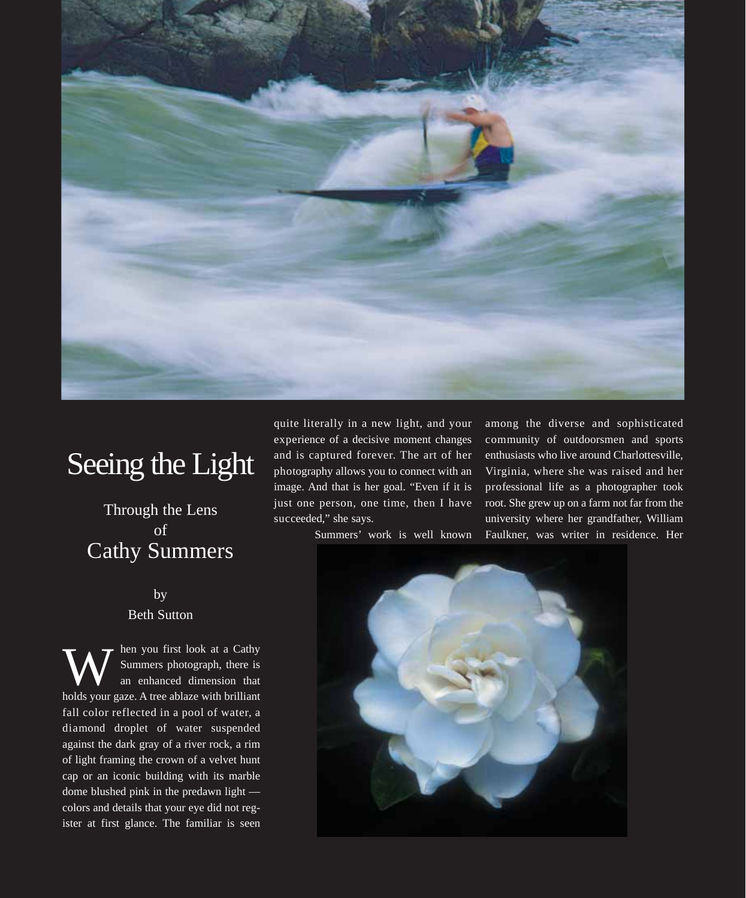

## Seeing the Light

## Through the Lens of Cathy Summers

## by Beth Sutton

hen you first look at a Cathy Summers photograph, there is an enhanced dimension that holds your gaze. A tree ablaze with brilliant fall color reflected in a pool of water, a diamond droplet of water suspended against the dark gray of a river rock, a rim of light framing the crown of a velvet hunt cap or an iconic building with its marble dome blushed pink in the predawn light colors and details that your eye did not register at first glance. The familiar is seen W

quite literally in a new light, and your experience of a decisive moment changes and is captured forever. The art of her photography allows you to connect with an image. And that is her goal. "Even if it is just one person, one time, then I have succeeded," she says.

Summers' work is well known

among the diverse and sophisticated community of outdoorsmen and sports enthusiasts who live around Charlottesville, Virginia, where she was raised and her professional life as a photographer took root. She grew up on a farm not far from the university where her grandfather, William Faulkner, was writer in residence. Her

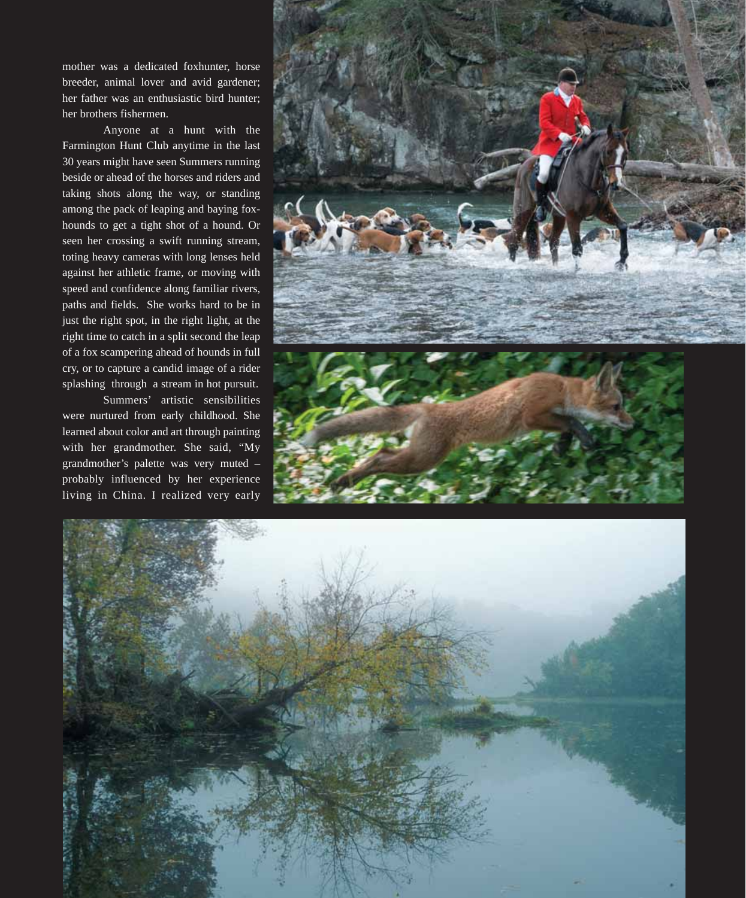mother was a dedicated foxhunter, horse breeder, animal lover and avid gardener; her father was an enthusiastic bird hunter; her brothers fishermen.

Anyone at a hunt with the Farmington Hunt Club anytime in the last 30 years might have seen Summers running beside or ahead of the horses and riders and taking shots along the way, or standing among the pack of leaping and baying foxhounds to get a tight shot of a hound. Or seen her crossing a swift running stream, toting heavy cameras with long lenses held against her athletic frame, or moving with speed and confidence along familiar rivers, paths and fields. She works hard to be in just the right spot, in the right light, at the right time to catch in a split second the leap of a fox scampering ahead of hounds in full cry, or to capture a candid image of a rider splashing through a stream in hot pursuit.

Summers' artistic sensibilities were nurtured from early childhood. She learned about color and art through painting with her grandmother. She said, "My grandmother's palette was very muted – probably influenced by her experience living in China. I realized very early



![](_page_1_Picture_4.jpeg)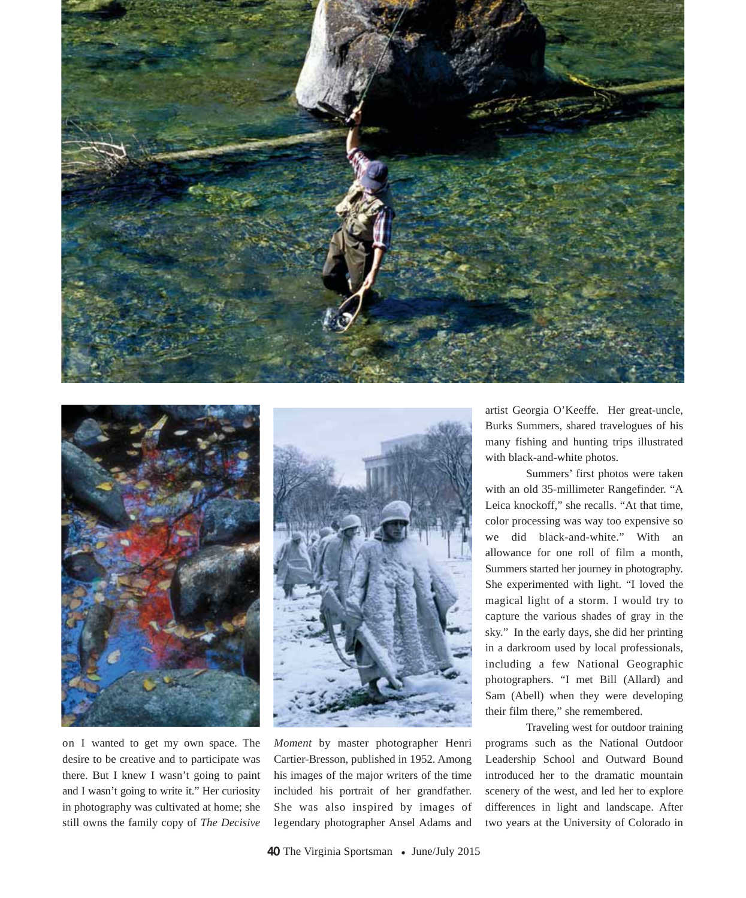![](_page_2_Picture_0.jpeg)

![](_page_2_Picture_1.jpeg)

on I wanted to get my own space. The desire to be creative and to participate was there. But I knew I wasn't going to paint and I wasn't going to write it." Her curiosity in photography was cultivated at home; she still owns the family copy of *The Decisive*

![](_page_2_Picture_3.jpeg)

*Moment* by master photographer Henri Cartier-Bresson, published in 1952. Among his images of the major writers of the time included his portrait of her grandfather. She was also inspired by images of legendary photographer Ansel Adams and

artist Georgia O'Keeffe. Her great-uncle, Burks Summers, shared travelogues of his many fishing and hunting trips illustrated with black-and-white photos.

Summers' first photos were taken with an old 35-millimeter Rangefinder. "A Leica knockoff," she recalls. "At that time, color processing was way too expensive so we did black-and-white." With an allowance for one roll of film a month, Summers started her journey in photography. She experimented with light. "I loved the magical light of a storm. I would try to capture the various shades of gray in the sky." In the early days, she did her printing in a darkroom used by local professionals, including a few National Geographic photographers. "I met Bill (Allard) and Sam (Abell) when they were developing their film there," she remembered.

Traveling west for outdoor training programs such as the National Outdoor Leadership School and Outward Bound introduced her to the dramatic mountain scenery of the west, and led her to explore differences in light and landscape. After two years at the University of Colorado in